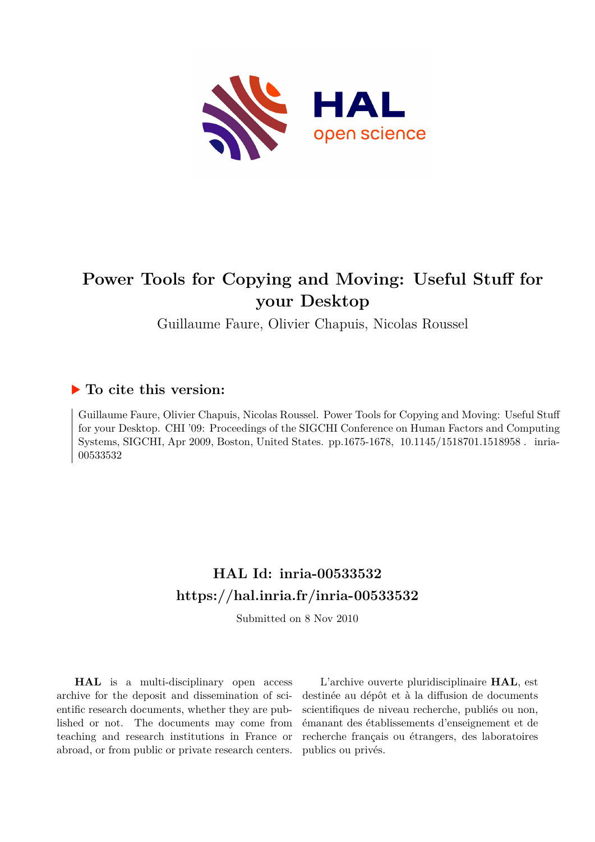

# **Power Tools for Copying and Moving: Useful Stuff for your Desktop**

Guillaume Faure, Olivier Chapuis, Nicolas Roussel

# **To cite this version:**

Guillaume Faure, Olivier Chapuis, Nicolas Roussel. Power Tools for Copying and Moving: Useful Stuff for your Desktop. CHI '09: Proceedings of the SIGCHI Conference on Human Factors and Computing Systems, SIGCHI, Apr 2009, Boston, United States. pp.1675-1678, 10.1145/1518701.1518958. inria-00533532ff

# **HAL Id: inria-00533532 <https://hal.inria.fr/inria-00533532>**

Submitted on 8 Nov 2010

**HAL** is a multi-disciplinary open access archive for the deposit and dissemination of scientific research documents, whether they are published or not. The documents may come from teaching and research institutions in France or abroad, or from public or private research centers.

L'archive ouverte pluridisciplinaire **HAL**, est destinée au dépôt et à la diffusion de documents scientifiques de niveau recherche, publiés ou non, émanant des établissements d'enseignement et de recherche français ou étrangers, des laboratoires publics ou privés.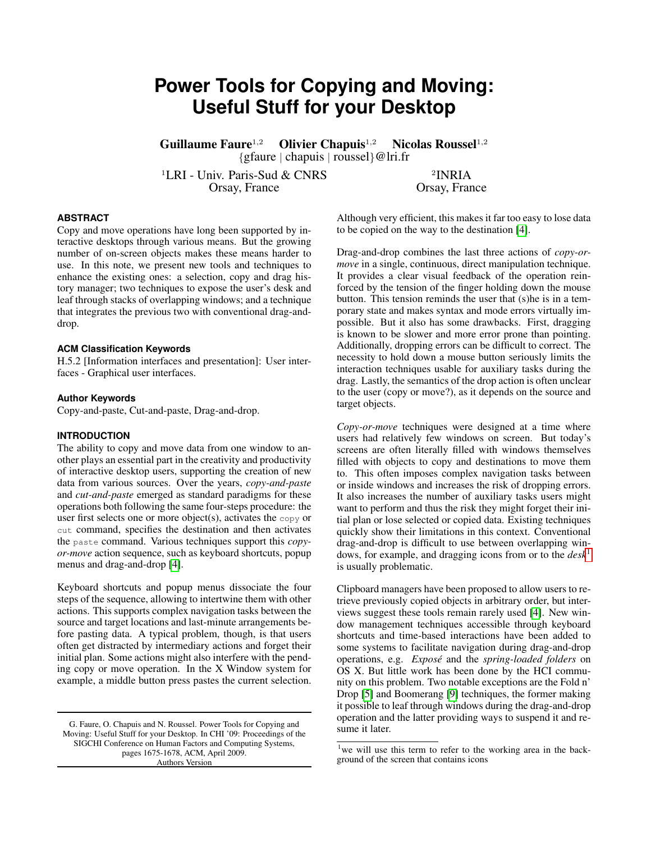# **Power Tools for Copying and Moving: Useful Stuff for your Desktop**

Guillaume Faure<sup>1,2</sup> Olivier Chapuis<sup>1,2</sup> Nicolas Roussel<sup>1,2</sup> {gfaure | chapuis | roussel}@lri.fr

<sup>1</sup>LRI - Univ. Paris-Sud & CNRS<br>Orsay, France

<sup>2</sup>INRIA Orsay, France

# **ABSTRACT**

Copy and move operations have long been supported by interactive desktops through various means. But the growing number of on-screen objects makes these means harder to use. In this note, we present new tools and techniques to enhance the existing ones: a selection, copy and drag history manager; two techniques to expose the user's desk and leaf through stacks of overlapping windows; and a technique that integrates the previous two with conventional drag-anddrop.

# **ACM Classification Keywords**

H.5.2 [Information interfaces and presentation]: User interfaces - Graphical user interfaces.

## **Author Keywords**

Copy-and-paste, Cut-and-paste, Drag-and-drop.

### **INTRODUCTION**

The ability to copy and move data from one window to another plays an essential part in the creativity and productivity of interactive desktop users, supporting the creation of new data from various sources. Over the years, *copy-and-paste* and *cut-and-paste* emerged as standard paradigms for these operations both following the same four-steps procedure: the user first selects one or more object(s), activates the  $_{\rm copy}$  or cut command, specifies the destination and then activates the paste command. Various techniques support this *copyor-move* action sequence, such as keyboard shortcuts, popup menus and drag-and-drop [\[4\]](#page-4-0).

Keyboard shortcuts and popup menus dissociate the four steps of the sequence, allowing to intertwine them with other actions. This supports complex navigation tasks between the source and target locations and last-minute arrangements before pasting data. A typical problem, though, is that users often get distracted by intermediary actions and forget their initial plan. Some actions might also interfere with the pending copy or move operation. In the X Window system for example, a middle button press pastes the current selection.

G. Faure, O. Chapuis and N. Roussel. Power Tools for Copying and Moving: Useful Stuff for your Desktop. In CHI '09: Proceedings of the SIGCHI Conference on Human Factors and Computing Systems, pages 1675-1678, ACM, April 2009. Authors Version

Although very efficient, this makes it far too easy to lose data to be copied on the way to the destination [\[4\]](#page-4-0).

Drag-and-drop combines the last three actions of *copy-ormove* in a single, continuous, direct manipulation technique. It provides a clear visual feedback of the operation reinforced by the tension of the finger holding down the mouse button. This tension reminds the user that (s)he is in a temporary state and makes syntax and mode errors virtually impossible. But it also has some drawbacks. First, dragging is known to be slower and more error prone than pointing. Additionally, dropping errors can be difficult to correct. The necessity to hold down a mouse button seriously limits the interaction techniques usable for auxiliary tasks during the drag. Lastly, the semantics of the drop action is often unclear to the user (copy or move?), as it depends on the source and target objects.

*Copy-or-move* techniques were designed at a time where users had relatively few windows on screen. But today's screens are often literally filled with windows themselves filled with objects to copy and destinations to move them to. This often imposes complex navigation tasks between or inside windows and increases the risk of dropping errors. It also increases the number of auxiliary tasks users might want to perform and thus the risk they might forget their initial plan or lose selected or copied data. Existing techniques quickly show their limitations in this context. Conventional drag-and-drop is difficult to use between overlapping windows, for example, and dragging icons from or to the *desk*[1](#page-1-0) is usually problematic.

Clipboard managers have been proposed to allow users to retrieve previously copied objects in arbitrary order, but interviews suggest these tools remain rarely used [\[4\]](#page-4-0). New window management techniques accessible through keyboard shortcuts and time-based interactions have been added to some systems to facilitate navigation during drag-and-drop operations, e.g. *Expose´* and the *spring-loaded folders* on OS X. But little work has been done by the HCI community on this problem. Two notable exceptions are the Fold n' Drop [\[5\]](#page-4-1) and Boomerang [\[9\]](#page-4-2) techniques, the former making it possible to leaf through windows during the drag-and-drop operation and the latter providing ways to suspend it and resume it later.

<span id="page-1-0"></span><sup>&</sup>lt;sup>1</sup>we will use this term to refer to the working area in the background of the screen that contains icons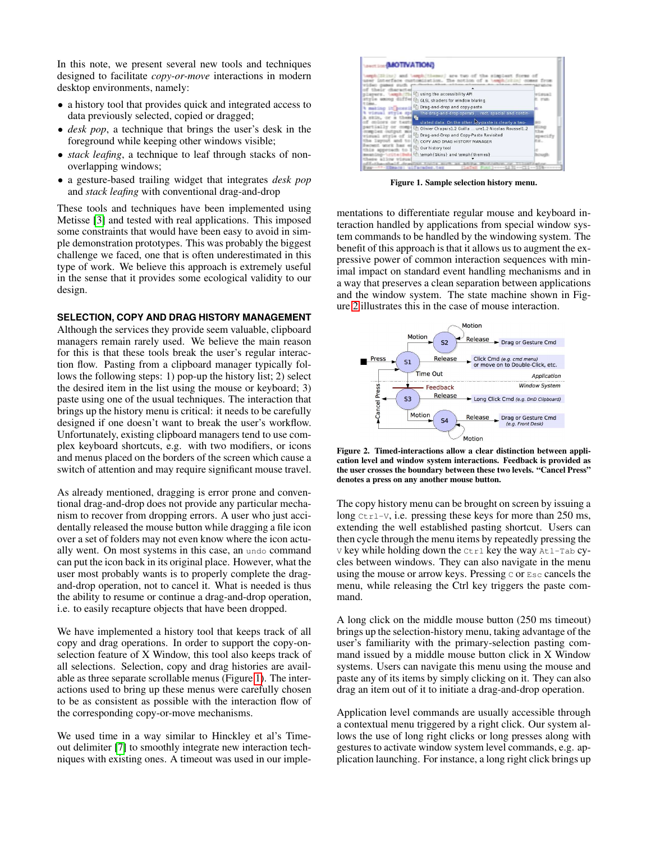In this note, we present several new tools and techniques designed to facilitate *copy-or-move* interactions in modern desktop environments, namely:

- a history tool that provides quick and integrated access to data previously selected, copied or dragged;
- *desk pop*, a technique that brings the user's desk in the foreground while keeping other windows visible;
- *stack leafing*, a technique to leaf through stacks of nonoverlapping windows;
- a gesture-based trailing widget that integrates *desk pop* and *stack leafing* with conventional drag-and-drop

These tools and techniques have been implemented using Metisse [\[3\]](#page-4-3) and tested with real applications. This imposed some constraints that would have been easy to avoid in simple demonstration prototypes. This was probably the biggest challenge we faced, one that is often underestimated in this type of work. We believe this approach is extremely useful in the sense that it provides some ecological validity to our design.

#### **SELECTION, COPY AND DRAG HISTORY MANAGEMENT**

Although the services they provide seem valuable, clipboard managers remain rarely used. We believe the main reason for this is that these tools break the user's regular interaction flow. Pasting from a clipboard manager typically follows the following steps: 1) pop-up the history list; 2) select the desired item in the list using the mouse or keyboard; 3) paste using one of the usual techniques. The interaction that brings up the history menu is critical: it needs to be carefully designed if one doesn't want to break the user's workflow. Unfortunately, existing clipboard managers tend to use complex keyboard shortcuts, e.g. with two modifiers, or icons and menus placed on the borders of the screen which cause a switch of attention and may require significant mouse travel.

As already mentioned, dragging is error prone and conventional drag-and-drop does not provide any particular mechanism to recover from dropping errors. A user who just accidentally released the mouse button while dragging a file icon over a set of folders may not even know where the icon actually went. On most systems in this case, an undo command can put the icon back in its original place. However, what the user most probably wants is to properly complete the dragand-drop operation, not to cancel it. What is needed is thus the ability to resume or continue a drag-and-drop operation, i.e. to easily recapture objects that have been dropped.

We have implemented a history tool that keeps track of all copy and drag operations. In order to support the copy-onselection feature of X Window, this tool also keeps track of all selections. Selection, copy and drag histories are available as three separate scrollable menus (Figure [1\)](#page-2-0). The interactions used to bring up these menus were carefully chosen to be as consistent as possible with the interaction flow of the corresponding copy-or-move mechanisms.

We used time in a way similar to Hinckley et al's Timeout delimiter [\[7\]](#page-4-4) to smoothly integrate new interaction techniques with existing ones. A timeout was used in our imple-



<span id="page-2-0"></span>Figure 1. Sample selection history menu.

mentations to differentiate regular mouse and keyboard interaction handled by applications from special window system commands to be handled by the windowing system. The benefit of this approach is that it allows us to augment the expressive power of common interaction sequences with minimal impact on standard event handling mechanisms and in a way that preserves a clean separation between applications and the window system. The state machine shown in Figure [2](#page-2-1) illustrates this in the case of mouse interaction.



<span id="page-2-1"></span>Figure 2. Timed-interactions allow a clear distinction between application level and window system interactions. Feedback is provided as the user crosses the boundary between these two levels. "Cancel Press" denotes a press on any another mouse button.

The copy history menu can be brought on screen by issuing a long  $Ctr1-V$ , i.e. pressing these keys for more than 250 ms, extending the well established pasting shortcut. Users can then cycle through the menu items by repeatedly pressing the  $V$  key while holding down the  $C$ trl key the way Atl-Tab cycles between windows. They can also navigate in the menu using the mouse or arrow keys. Pressing C or Esc cancels the menu, while releasing the Ctrl key triggers the paste command.

A long click on the middle mouse button (250 ms timeout) brings up the selection-history menu, taking advantage of the user's familiarity with the primary-selection pasting command issued by a middle mouse button click in X Window systems. Users can navigate this menu using the mouse and paste any of its items by simply clicking on it. They can also drag an item out of it to initiate a drag-and-drop operation.

Application level commands are usually accessible through a contextual menu triggered by a right click. Our system allows the use of long right clicks or long presses along with gestures to activate window system level commands, e.g. application launching. For instance, a long right click brings up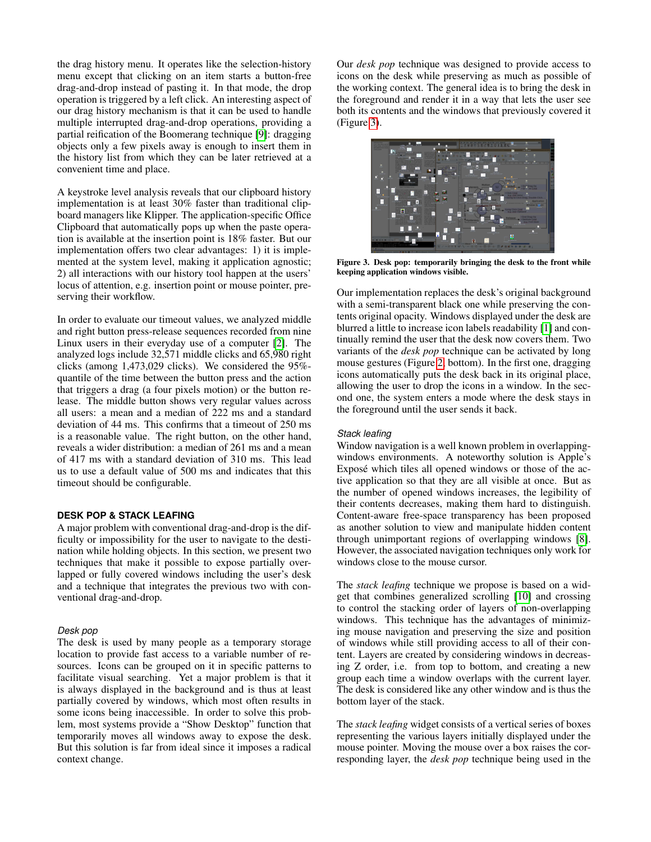the drag history menu. It operates like the selection-history menu except that clicking on an item starts a button-free drag-and-drop instead of pasting it. In that mode, the drop operation is triggered by a left click. An interesting aspect of our drag history mechanism is that it can be used to handle multiple interrupted drag-and-drop operations, providing a partial reification of the Boomerang technique [\[9\]](#page-4-2): dragging objects only a few pixels away is enough to insert them in the history list from which they can be later retrieved at a convenient time and place.

A keystroke level analysis reveals that our clipboard history implementation is at least 30% faster than traditional clipboard managers like Klipper. The application-specific Office Clipboard that automatically pops up when the paste operation is available at the insertion point is 18% faster. But our implementation offers two clear advantages: 1) it is implemented at the system level, making it application agnostic; 2) all interactions with our history tool happen at the users' locus of attention, e.g. insertion point or mouse pointer, preserving their workflow.

In order to evaluate our timeout values, we analyzed middle and right button press-release sequences recorded from nine Linux users in their everyday use of a computer [\[2\]](#page-4-5). The analyzed logs include 32,571 middle clicks and 65,980 right clicks (among 1,473,029 clicks). We considered the 95% quantile of the time between the button press and the action that triggers a drag (a four pixels motion) or the button release. The middle button shows very regular values across all users: a mean and a median of 222 ms and a standard deviation of 44 ms. This confirms that a timeout of 250 ms is a reasonable value. The right button, on the other hand, reveals a wider distribution: a median of 261 ms and a mean of 417 ms with a standard deviation of 310 ms. This lead us to use a default value of 500 ms and indicates that this timeout should be configurable.

### **DESK POP & STACK LEAFING**

A major problem with conventional drag-and-drop is the difficulty or impossibility for the user to navigate to the destination while holding objects. In this section, we present two techniques that make it possible to expose partially overlapped or fully covered windows including the user's desk and a technique that integrates the previous two with conventional drag-and-drop.

# *Desk pop*

The desk is used by many people as a temporary storage location to provide fast access to a variable number of resources. Icons can be grouped on it in specific patterns to facilitate visual searching. Yet a major problem is that it is always displayed in the background and is thus at least partially covered by windows, which most often results in some icons being inaccessible. In order to solve this problem, most systems provide a "Show Desktop" function that temporarily moves all windows away to expose the desk. But this solution is far from ideal since it imposes a radical context change.

Our *desk pop* technique was designed to provide access to icons on the desk while preserving as much as possible of the working context. The general idea is to bring the desk in the foreground and render it in a way that lets the user see both its contents and the windows that previously covered it (Figure [3\)](#page-3-0).



<span id="page-3-0"></span>Figure 3. Desk pop: temporarily bringing the desk to the front while keeping application windows visible.

Our implementation replaces the desk's original background with a semi-transparent black one while preserving the contents original opacity. Windows displayed under the desk are blurred a little to increase icon labels readability [\[1\]](#page-4-6) and continually remind the user that the desk now covers them. Two variants of the *desk pop* technique can be activated by long mouse gestures (Figure [2,](#page-2-1) bottom). In the first one, dragging icons automatically puts the desk back in its original place, allowing the user to drop the icons in a window. In the second one, the system enters a mode where the desk stays in the foreground until the user sends it back.

#### *Stack leafing*

Window navigation is a well known problem in overlappingwindows environments. A noteworthy solution is Apple's Exposé which tiles all opened windows or those of the active application so that they are all visible at once. But as the number of opened windows increases, the legibility of their contents decreases, making them hard to distinguish. Content-aware free-space transparency has been proposed as another solution to view and manipulate hidden content through unimportant regions of overlapping windows [\[8\]](#page-4-7). However, the associated navigation techniques only work for windows close to the mouse cursor.

The *stack leafing* technique we propose is based on a widget that combines generalized scrolling [\[10\]](#page-4-8) and crossing to control the stacking order of layers of non-overlapping windows. This technique has the advantages of minimizing mouse navigation and preserving the size and position of windows while still providing access to all of their content. Layers are created by considering windows in decreasing Z order, i.e. from top to bottom, and creating a new group each time a window overlaps with the current layer. The desk is considered like any other window and is thus the bottom layer of the stack.

The *stack leafing* widget consists of a vertical series of boxes representing the various layers initially displayed under the mouse pointer. Moving the mouse over a box raises the corresponding layer, the *desk pop* technique being used in the